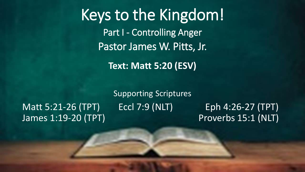Keys to the Kingdom! Part I - Controlling Anger Pastor James W. Pitts, Jr.

**Text: Matt 5:20 (ESV)**

#### Matt 5:21-26 (TPT) Eccl 7:9 (NLT) Eph 4:26-27 (TPT) James 1:19-20 (TPT) Proverbs 15:1 (NLT)

Supporting Scriptures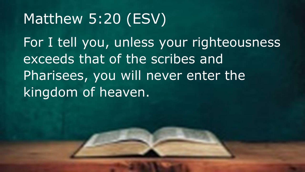# Matthew 5:20 (ESV)

For I tell you, unless your righteousness exceeds that of the scribes and Pharisees, you will never enter the kingdom of heaven.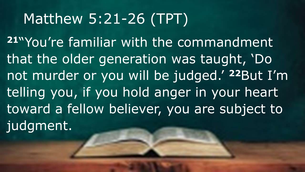# Matthew 5:21-26 (TPT)

**<sup>21</sup>**"You're familiar with the commandment that the older generation was taught, 'Do not murder or you will be judged.' **<sup>22</sup>**But I'm telling you, if you hold anger in your heart toward a fellow believer, you are subject to judgment.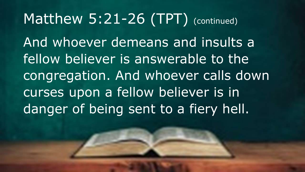#### Matthew 5:21-26 (TPT) (continued)

And whoever demeans and insults a fellow believer is answerable to the congregation. And whoever calls down curses upon a fellow believer is in danger of being sent to a fiery hell.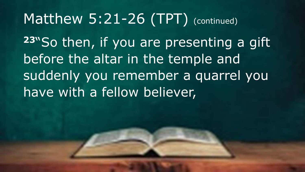### Matthew 5:21-26 (TPT) (continued)

**<sup>23</sup>**"So then, if you are presenting a gift before the altar in the temple and suddenly you remember a quarrel you have with a fellow believer,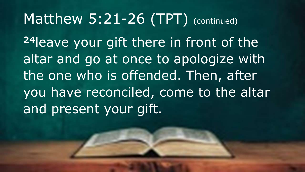### Matthew 5:21-26 (TPT) (continued)

**<sup>24</sup>**leave your gift there in front of the altar and go at once to apologize with the one who is offended. Then, after you have reconciled, come to the altar and present your gift.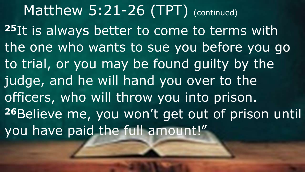Matthew 5:21-26 (TPT) (continued) **<sup>25</sup>**It is always better to come to terms with the one who wants to sue you before you go to trial, or you may be found guilty by the judge, and he will hand you over to the officers, who will throw you into prison. **<sup>26</sup>**Believe me, you won't get out of prison until you have paid the full amount!"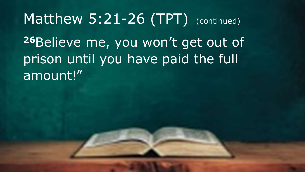# Matthew 5:21-26 (TPT) (continued) **<sup>26</sup>**Believe me, you won't get out of prison until you have paid the full amount!"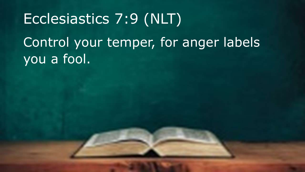# Ecclesiastics 7:9 (NLT) Control your temper, for anger labels you a fool.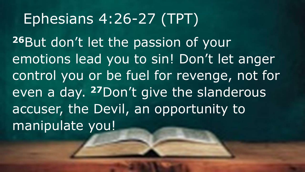# Ephesians 4:26-27 (TPT)

**26**But don't let the passion of your emotions lead you to sin! Don't let anger control you or be fuel for revenge, not for even a day. **<sup>27</sup>**Don't give the slanderous accuser, the Devil, an opportunity to manipulate you!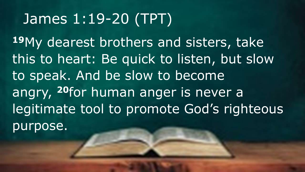# James 1:19-20 (TPT)

**<sup>19</sup>**My dearest brothers and sisters, take this to heart: Be quick to listen, but slow to speak. And be slow to become angry, **<sup>20</sup>**for human anger is never a legitimate tool to promote God's righteous purpose.